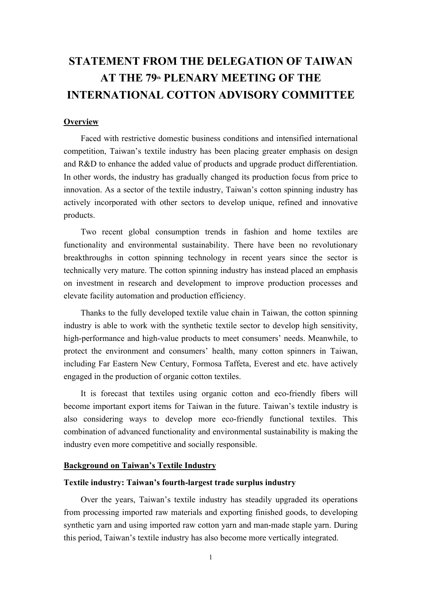# **STATEMENT FROM THE DELEGATION OF TAIWAN AT THE 79th PLENARY MEETING OF THE INTERNATIONAL COTTON ADVISORY COMMITTEE**

# **Overview**

Faced with restrictive domestic business conditions and intensified international competition, Taiwan's textile industry has been placing greater emphasis on design and R&D to enhance the added value of products and upgrade product differentiation. In other words, the industry has gradually changed its production focus from price to innovation. As a sector of the textile industry, Taiwan's cotton spinning industry has actively incorporated with other sectors to develop unique, refined and innovative products.

Two recent global consumption trends in fashion and home textiles are functionality and environmental sustainability. There have been no revolutionary breakthroughs in cotton spinning technology in recent years since the sector is technically very mature. The cotton spinning industry has instead placed an emphasis on investment in research and development to improve production processes and elevate facility automation and production efficiency.

Thanks to the fully developed textile value chain in Taiwan, the cotton spinning industry is able to work with the synthetic textile sector to develop high sensitivity, high-performance and high-value products to meet consumers' needs. Meanwhile, to protect the environment and consumers' health, many cotton spinners in Taiwan, including Far Eastern New Century, Formosa Taffeta, Everest and etc. have actively engaged in the production of organic cotton textiles.

It is forecast that textiles using organic cotton and eco-friendly fibers will become important export items for Taiwan in the future. Taiwan's textile industry is also considering ways to develop more eco-friendly functional textiles. This combination of advanced functionality and environmental sustainability is making the industry even more competitive and socially responsible.

# **Background on Taiwan's Textile Industry**

# **Textile industry: Taiwan's fourth-largest trade surplus industry**

Over the years, Taiwan's textile industry has steadily upgraded its operations from processing imported raw materials and exporting finished goods, to developing synthetic yarn and using imported raw cotton yarn and man-made staple yarn. During this period, Taiwan's textile industry has also become more vertically integrated.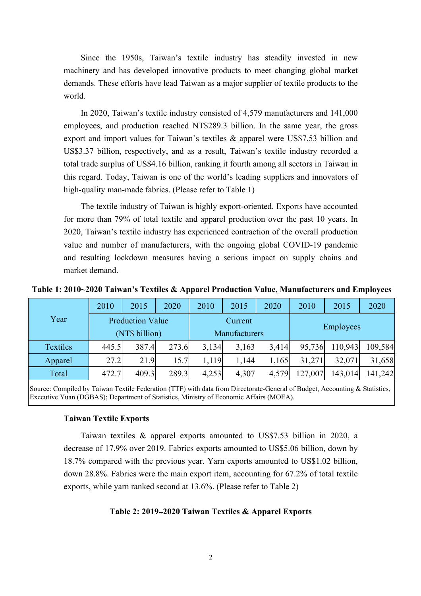Since the 1950s, Taiwan's textile industry has steadily invested in new machinery and has developed innovative products to meet changing global market demands. These efforts have lead Taiwan as a major supplier of textile products to the world.

In 2020, Taiwan's textile industry consisted of 4,579 manufacturers and 141,000 employees, and production reached NT\$289.3 billion. In the same year, the gross export and import values for Taiwan's textiles & apparel were US\$7.53 billion and US\$3.37 billion, respectively, and as a result, Taiwan's textile industry recorded a total trade surplus of US\$4.16 billion, ranking it fourth among all sectors in Taiwan in this regard. Today, Taiwan is one of the world's leading suppliers and innovators of high-quality man-made fabrics. (Please refer to Table 1)

The textile industry of Taiwan is highly export-oriented. Exports have accounted for more than 79% of total textile and apparel production over the past 10 years. In 2020, Taiwan's textile industry has experienced contraction of the overall production value and number of manufacturers, with the ongoing global COVID-19 pandemic and resulting lockdown measures having a serious impact on supply chains and market demand.

**Table 1: 2010~2020 Taiwan's Textiles & Apparel Production Value, Manufacturers and Employees**

|          | 2010                                      | 2015  | 2020  | 2010  | 2015                     | 2020  | 2010             | 2015    | 2020    |  |
|----------|-------------------------------------------|-------|-------|-------|--------------------------|-------|------------------|---------|---------|--|
| Year     | <b>Production Value</b><br>(NT\$ billion) |       |       |       | Current<br>Manufacturers |       | Employees        |         |         |  |
| Textiles | 445.5                                     | 387.4 | 273.6 | 3,134 | 3,163                    | 3,414 | 95,736           | 110,943 | 109,584 |  |
| Apparel  | 27.2                                      | 21.9  | 15.7  | 1,119 | 1,144                    | 1,165 | 32,071<br>31,271 |         | 31,658  |  |
| Total    | 472.7                                     | 409.3 | 289.3 | 4,253 | 4,307                    | 4,579 | 127,007          | 143,014 | 141,242 |  |

Source: Compiled by Taiwan Textile Federation (TTF) with data from Directorate-General of Budget, Accounting & Statistics, Executive Yuan (DGBAS); Department of Statistics, Ministry of Economic Affairs (MOEA).

# **Taiwan Textile Exports**

Taiwan textiles & apparel exports amounted to US\$7.53 billion in 2020, a decrease of 17.9% over 2019. Fabrics exports amounted to US\$5.06 billion, down by 18.7% compared with the previous year. Yarn exports amounted to US\$1.02 billion, down 28.8%. Fabrics were the main export item, accounting for 67.2% of total textile exports, while yarn ranked second at 13.6%. (Please refer to Table 2)

# **Table 2: 2019**~**2020 Taiwan Textiles & Apparel Exports**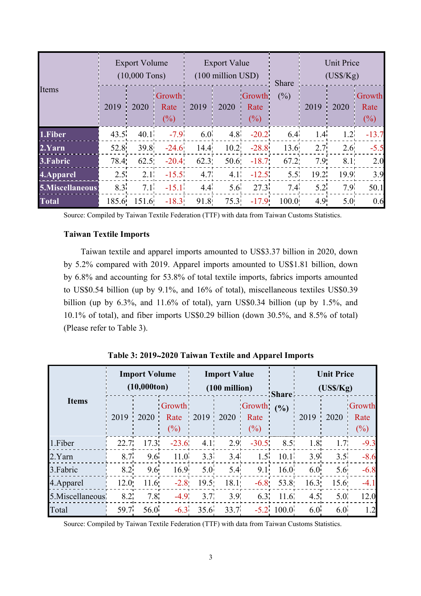| Items           |       | <b>Export Volume</b><br>$(10,000$ Tons) |                                 |      | <b>Export Value</b><br>(100 million USD) |                                 | Share  | <b>Unit Price</b><br>$(US\$/Kg)$ |                 |                          |  |
|-----------------|-------|-----------------------------------------|---------------------------------|------|------------------------------------------|---------------------------------|--------|----------------------------------|-----------------|--------------------------|--|
|                 | 2019  | 2020                                    | <b>Growth</b><br>Rate<br>$(\%)$ | 2019 | 2020                                     | <b>Growth</b><br>Rate<br>$(\%)$ | $(\%)$ | 2019                             | 2020            | Growth<br>Rate<br>$(\%)$ |  |
| 1.Fiber         | 43.5  | 40.1 <sup>1</sup>                       | $-7.9$                          | 6.0  |                                          | $4.8 - 20.2$                    | 6.4    | 1.4                              | $1.2^{\dagger}$ | $-13.7$                  |  |
| 2.Yarn          | 52.8  | 39.8                                    | $-24.6$                         | 14.4 |                                          | $10.2 -28.8$                    | 13.6   | 2.7                              | 2.6             | $-5.5$                   |  |
| 3. Fabric       | 78.4  | 62.5                                    | $-20.4$                         | 62.3 | 50.6                                     | $-18.7$                         | 67.2   | 7.9                              | 8.1             | 2.0                      |  |
| 4.Apparel       | 2.5   | 2.1                                     | $-15.5$                         | 4.7  | 4.1                                      | $-12.5$                         | 5.5    | 19.2                             | 19.9            | 3.9                      |  |
| 5.Miscellaneous | 8.3   | 7.1                                     | $-15.1$                         | 4.4  | 5.6                                      | 27.3                            | 7.4    | 5.2 <sup>1</sup>                 | 7.9             | 50.1                     |  |
| <b>Total</b>    | 185.6 | 151.6                                   | $-18.3$                         | 91.8 | 75.3                                     | $-17.9$                         | 100.0  | 4.9                              | 5.0             | 0.6                      |  |

Source: Compiled by Taiwan Textile Federation (TTF) with data from Taiwan Customs Statistics.

# **Taiwan Textile Imports**

Taiwan textile and apparel imports amounted to US\$3.37 billion in 2020, down by 5.2% compared with 2019. Apparel imports amounted to US\$1.81 billion, down by 6.8% and accounting for 53.8% of total textile imports, fabrics imports amounted to US\$0.54 billion (up by 9.1%, and 16% of total), miscellaneous textiles US\$0.39 billion (up by 6.3%, and 11.6% of total), yarn US\$0.34 billion (up by 1.5%, and 10.1% of total), and fiber imports US\$0.29 billion (down 30.5%, and 8.5% of total) (Please refer to Table 3).

|                 |      | <b>Import Volume</b><br>$(10,000 \text{ton})$ |                       |                  | <b>Import Value</b><br>$(100 \text{ million})$ |                       | <b>Share</b> | <b>Unit Price</b><br>(USS/Kg) |                  |                          |  |
|-----------------|------|-----------------------------------------------|-----------------------|------------------|------------------------------------------------|-----------------------|--------------|-------------------------------|------------------|--------------------------|--|
| <b>Items</b>    | 2019 | 2020                                          | Growth<br>Rate<br>(%) | 2019<br>л.       | 2020                                           | Growth<br>Rate<br>(%) | (%)          | 2019                          | 2020             | Growth<br>Rate<br>$(\%)$ |  |
| 1.Fiber         | 22.7 | 17.3                                          | $-23.6$               | 4.1 <sub>1</sub> | 2.9                                            | $-30.5$               | 8.5          | 1.8                           | 1.7 <sub>1</sub> | $-9.3$                   |  |
| 2.Yarn          | 8.7  | 9.6                                           | 11.0                  | 3.3              | 3.4                                            | 1.5                   | 10.1         | 3.9                           | 3.5              | $-8.6$                   |  |
| 3. Fabric       | 8.2  | 9.6                                           | 16.9                  | 5.0              | 5.4                                            | 9.1                   | 16.0         | 6.0                           | 5.6              | $-6.8$                   |  |
| 4. Apparel      | 12.0 | 11.6                                          | $-2.8$                | 19.5             | 18.1                                           | $-6.8$                | 53.8         | 16.3                          | 15.6             | $-4.1$                   |  |
| 5.Miscellaneous | 8.2  | 7.8                                           | $-4.9$                | 3.7              | 3.9 <sub>1</sub>                               | 6.3                   | 11.6         | 4.5                           | 5.0 <sub>1</sub> | 12.0                     |  |
| Total           | 59.7 | 56.0                                          | $-6.3$                | 35.6             | 33.7                                           |                       | $-5.2$ 100.0 | 6.0                           | 6.0 <sup>1</sup> | 1.2                      |  |

**Table 3: 2019**~**2020 Taiwan Textile and Apparel Imports**

Source: Compiled by Taiwan Textile Federation (TTF) with data from Taiwan Customs Statistics.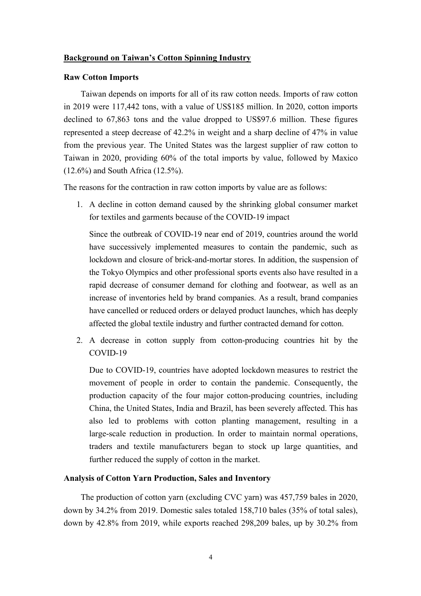# **Background on Taiwan's Cotton Spinning Industry**

#### **Raw Cotton Imports**

Taiwan depends on imports for all of its raw cotton needs. Imports of raw cotton in 2019 were 117,442 tons, with a value of US\$185 million. In 2020, cotton imports declined to 67,863 tons and the value dropped to US\$97.6 million. These figures represented a steep decrease of 42.2% in weight and a sharp decline of 47% in value from the previous year. The United States was the largest supplier of raw cotton to Taiwan in 2020, providing 60% of the total imports by value, followed by Maxico (12.6%) and South Africa (12.5%).

The reasons for the contraction in raw cotton imports by value are as follows:

1. A decline in cotton demand caused by the shrinking global consumer market for textiles and garments because of the COVID-19 impact

Since the outbreak of COVID-19 near end of 2019, countries around the world have successively implemented measures to contain the pandemic, such as lockdown and closure of brick-and-mortar stores. In addition, the suspension of the Tokyo Olympics and other professional sports events also have resulted in a rapid decrease of consumer demand for clothing and footwear, as well as an increase of inventories held by brand companies. As a result, brand companies have cancelled or reduced orders or delayed product launches, which has deeply affected the global textile industry and further contracted demand for cotton.

2. A decrease in cotton supply from cotton-producing countries hit by the COVID-19

Due to COVID-19, countries have adopted lockdown measures to restrict the movement of people in order to contain the pandemic. Consequently, the production capacity of the four major cotton-producing countries, including China, the United States, India and Brazil, has been severely affected. This has also led to problems with cotton planting management, resulting in a large-scale reduction in production. In order to maintain normal operations, traders and textile manufacturers began to stock up large quantities, and further reduced the supply of cotton in the market.

# **Analysis of Cotton Yarn Production, Sales and Inventory**

The production of cotton yarn (excluding CVC yarn) was 457,759 bales in 2020, down by 34.2% from 2019. Domestic sales totaled 158,710 bales (35% of total sales), down by 42.8% from 2019, while exports reached 298,209 bales, up by 30.2% from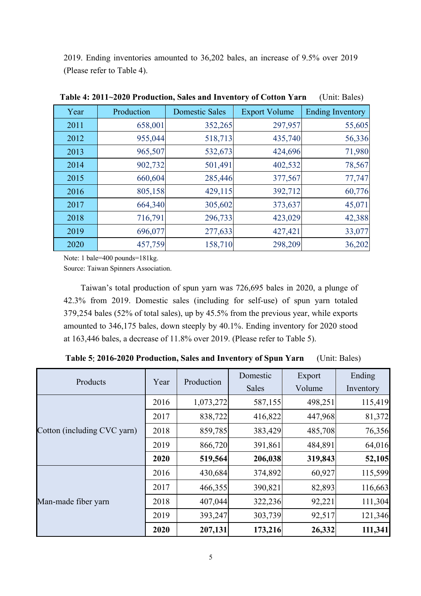2019. Ending inventories amounted to 36,202 bales, an increase of 9.5% over 2019 (Please refer to Table 4).

| Year | Production | <b>Domestic Sales</b> | <b>Export Volume</b> | <b>Ending Inventory</b> |
|------|------------|-----------------------|----------------------|-------------------------|
| 2011 | 658,001    | 352,265               | 297,957              | 55,605                  |
| 2012 | 955,044    | 518,713               | 435,740              | 56,336                  |
| 2013 | 965,507    | 532,673               | 424,696              | 71,980                  |
| 2014 | 902,732    | 501,491               | 402,532              | 78,567                  |
| 2015 | 660,604    | 285,446               | 377,567              | 77,747                  |
| 2016 | 805,158    | 429,115               | 392,712              | 60,776                  |
| 2017 | 664,340    | 305,602               | 373,637              | 45,071                  |
| 2018 | 716,791    | 296,733               | 423,029              | 42,388                  |
| 2019 | 696,077    | 277,633               | 427,421              | 33,077                  |
| 2020 | 457,759    | 158,710               | 298,209              | 36,202                  |

**Table 4: 2011~2020 Production, Sales and Inventory of Cotton Yarn** (Unit: Bales)

Note: 1 bale=400 pounds=181kg.

Source: Taiwan Spinners Association.

Taiwan's total production of spun yarn was 726,695 bales in 2020, a plunge of 42.3% from 2019. Domestic sales (including for self-use) of spun yarn totaled 379,254 bales (52% of total sales), up by 45.5% from the previous year, while exports amounted to 346,175 bales, down steeply by 40.1%. Ending inventory for 2020 stood at 163,446 bales, a decrease of 11.8% over 2019. (Please refer to Table 5).

**Table 5**: **2016-2020 Production, Sales and Inventory of Spun Yarn** (Unit: Bales)

|                             |      |            | Domestic     | Export  | Ending    |
|-----------------------------|------|------------|--------------|---------|-----------|
| Products                    | Year | Production | <b>Sales</b> | Volume  | Inventory |
|                             | 2016 | 1,073,272  | 587,155      | 498,251 | 115,419   |
|                             | 2017 | 838,722    | 416,822      | 447,968 | 81,372    |
| Cotton (including CVC yarn) | 2018 | 859,785    | 383,429      | 485,708 | 76,356    |
|                             | 2019 | 866,720    | 391,861      | 484,891 | 64,016    |
|                             | 2020 | 519,564    | 206,038      | 319,843 | 52,105    |
|                             | 2016 | 430,684    | 374,892      | 60,927  | 115,599   |
|                             | 2017 | 466,355    | 390,821      | 82,893  | 116,663   |
| Man-made fiber yarn         | 2018 | 407,044    | 322,236      | 92,221  | 111,304   |
|                             | 2019 | 393,247    | 303,739      | 92,517  | 121,346   |
|                             | 2020 | 207,131    | 173,216      | 26,332  | 111,341   |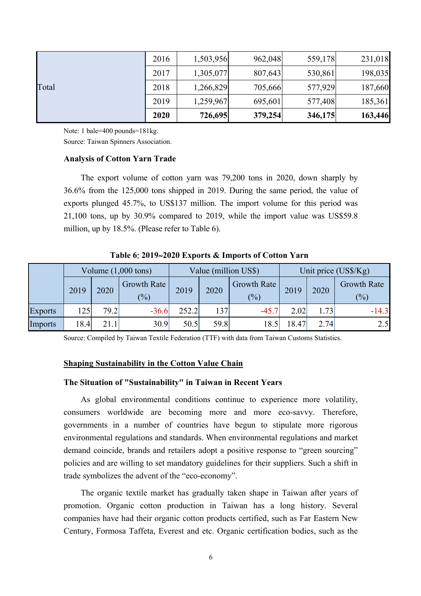|       | 2016 | 1,503,956 | 962,048 | 559,178 | 231,018 |
|-------|------|-----------|---------|---------|---------|
|       | 2017 | 1,305,077 | 807,643 | 530,861 | 198,035 |
| Total | 2018 | 1,266,829 | 705,666 | 577,929 | 187,660 |
|       | 2019 | 1,259,967 | 695,601 | 577,408 | 185,361 |
|       | 2020 | 726,695   | 379,254 | 346,175 | 163,446 |

Note: 1 bale=400 pounds=181kg. Source: Taiwan Spinners Association.

# **Analysis of Cotton Yarn Trade**

The export volume of cotton yarn was 79,200 tons in 2020, down sharply by 36.6% from the 125,000 tons shipped in 2019. During the same period, the value of exports plunged 45.7%, to US\$137 million. The import volume for this period was 21,100 tons, up by 30.9% compared to 2019, while the import value was US\$59.8 million, up by 18.5%. (Please refer to Table 6).

|                | Volume $(1,000 \text{ tons})$ |      |                       |       |      | Value (million US\$) | Unit price (US\$/Kg) |      |                           |  |
|----------------|-------------------------------|------|-----------------------|-------|------|----------------------|----------------------|------|---------------------------|--|
|                | 2019                          | 2020 | Growth Rate<br>$(\%)$ | 2019  | 2020 | Growth Rate<br>(%)   | 2019                 | 2020 | <b>Growth Rate</b><br>(%) |  |
| <b>Exports</b> | 125                           | 79.2 | $-36.6$               | 252.2 | 137  | $-45.7$              | 2.02                 | l.73 | $-14.3$                   |  |
| <b>Imports</b> | 18.4                          | 21.1 | 30.9                  | 50.5  | 59.8 | 18.5                 | 18.47                | 2.74 | 2.5                       |  |

**Table 6**: **2019**~**2020 Exports & Imports of Cotton Yarn**

Source: Compiled by Taiwan Textile Federation (TTF) with data from Taiwan Customs Statistics.

# **Shaping Sustainability in the Cotton Value Chain**

## **The Situation of "Sustainability" in Taiwan in Recent Years**

As global environmental conditions continue to experience more volatility, consumers worldwide are becoming more and more eco-savvy. Therefore, governments in a number of countries have begun to stipulate more rigorous environmental regulations and standards. When environmental regulations and market demand coincide, brands and retailers adopt a positive response to "green sourcing" policies and are willing to set mandatory guidelines for their suppliers. Such a shift in trade symbolizes the advent of the "eco-economy".

The organic textile market has gradually taken shape in Taiwan after years of promotion. Organic cotton production in Taiwan has a long history. Several companies have had their organic cotton products certified, such as Far Eastern New Century, Formosa Taffeta, Everest and etc. Organic certification bodies, such as the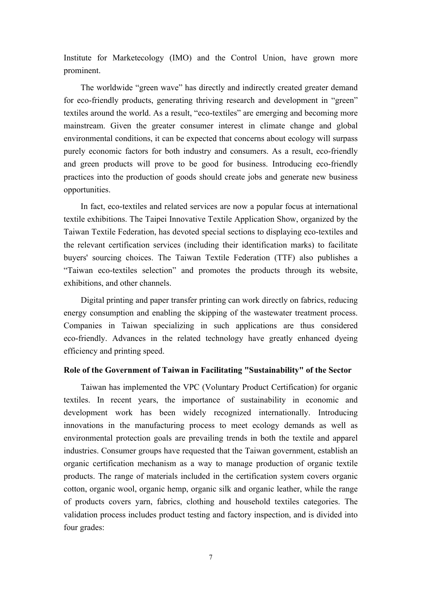Institute for Marketecology (IMO) and the Control Union, have grown more prominent.

The worldwide "green wave" has directly and indirectly created greater demand for eco-friendly products, generating thriving research and development in "green" textiles around the world. As a result, "eco-textiles" are emerging and becoming more mainstream. Given the greater consumer interest in climate change and global environmental conditions, it can be expected that concerns about ecology will surpass purely economic factors for both industry and consumers. As a result, eco-friendly and green products will prove to be good for business. Introducing eco-friendly practices into the production of goods should create jobs and generate new business opportunities.

In fact, eco-textiles and related services are now a popular focus at international textile exhibitions. The Taipei Innovative Textile Application Show, organized by the Taiwan Textile Federation, has devoted special sections to displaying eco-textiles and the relevant certification services (including their identification marks) to facilitate buyers' sourcing choices. The Taiwan Textile Federation (TTF) also publishes a "Taiwan eco-textiles selection" and promotes the products through its website, exhibitions, and other channels.

Digital printing and paper transfer printing can work directly on fabrics, reducing energy consumption and enabling the skipping of the wastewater treatment process. Companies in Taiwan specializing in such applications are thus considered eco-friendly. Advances in the related technology have greatly enhanced dyeing efficiency and printing speed.

# **Role of the Government of Taiwan in Facilitating "Sustainability" of the Sector**

Taiwan has implemented the VPC (Voluntary Product Certification) for organic textiles. In recent years, the importance of sustainability in economic and development work has been widely recognized internationally. Introducing innovations in the manufacturing process to meet ecology demands as well as environmental protection goals are prevailing trends in both the textile and apparel industries. Consumer groups have requested that the Taiwan government, establish an organic certification mechanism as a way to manage production of organic textile products. The range of materials included in the certification system covers organic cotton, organic wool, organic hemp, organic silk and organic leather, while the range of products covers yarn, fabrics, clothing and household textiles categories. The validation process includes product testing and factory inspection, and is divided into four grades: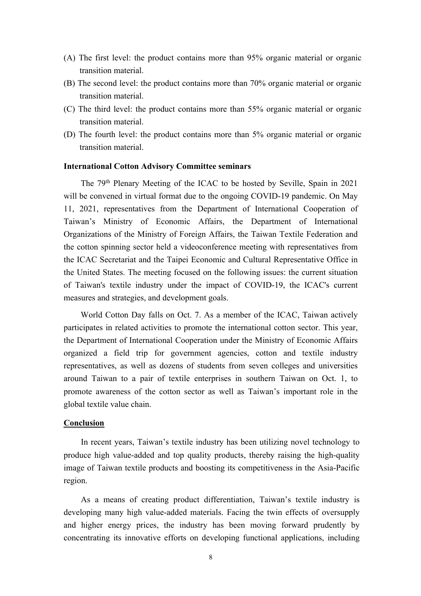- (A) The first level: the product contains more than 95% organic material or organic transition material.
- (B) The second level: the product contains more than 70% organic material or organic transition material.
- (C) The third level: the product contains more than 55% organic material or organic transition material.
- (D) The fourth level: the product contains more than 5% organic material or organic transition material.

# **International Cotton Advisory Committee seminars**

The 79th Plenary Meeting of the ICAC to be hosted by Seville, Spain in 2021 will be convened in virtual format due to the ongoing COVID-19 pandemic. On May 11, 2021, representatives from the Department of International Cooperation of Taiwan's Ministry of Economic Affairs, the Department of International Organizations of the Ministry of Foreign Affairs, the Taiwan Textile Federation and the cotton spinning sector held a videoconference meeting with representatives from the ICAC Secretariat and the Taipei Economic and Cultural Representative Office in the United States. The meeting focused on the following issues: the current situation of Taiwan's textile industry under the impact of COVID-19, the ICAC's current measures and strategies, and development goals.

World Cotton Day falls on Oct. 7. As a member of the ICAC, Taiwan actively participates in related activities to promote the international cotton sector. This year, the Department of International Cooperation under the Ministry of Economic Affairs organized a field trip for government agencies, cotton and textile industry representatives, as well as dozens of students from seven colleges and universities around Taiwan to a pair of textile enterprises in southern Taiwan on Oct. 1, to promote awareness of the cotton sector as well as Taiwan's important role in the global textile value chain.

#### **Conclusion**

In recent years, Taiwan's textile industry has been utilizing novel technology to produce high value-added and top quality products, thereby raising the high-quality image of Taiwan textile products and boosting its competitiveness in the Asia-Pacific region.

As a means of creating product differentiation, Taiwan's textile industry is developing many high value-added materials. Facing the twin effects of oversupply and higher energy prices, the industry has been moving forward prudently by concentrating its innovative efforts on developing functional applications, including